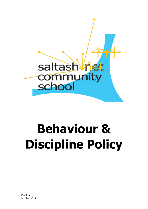

# **Behaviour & Discipline Policy**

J Skelton October 2017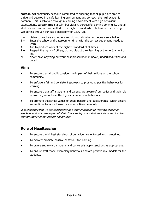**saltash.net** community school is committed to ensuring that all pupils are able to thrive and develop in a safe learning environment and so reach their full academic potential. This is achieved through a learning environment with high behaviour expectations. **saltash.net** is a calm but vibrant, purposeful learning community and all students and staff are committed to the highest standards of behaviour for learning. We do this through our basic philosophy of L.E.A.R.N.

- L Listen to teachers and others and do not talk when someone else is talking
- E Enter the school and classroom on time, with the correct equipment, ready to learn.
- $A -$  Aim to produce work of the highest standard at all times.
- R Respect the rights of others; do not disrupt their learning or their enjoyment of life.
- N Never have anything but your best presentation in books; underlined, titled and dated.

### **Aims**

- To ensure that all pupils consider the impact of their actions on the school community.
- To enforce a fair and consistent approach to promoting positive behaviour for learning.
- To ensure that staff, students and parents are aware of our policy and their role in ensuring we achieve the highest standards of behaviour.
- To promote the school values of pride, passion and perseverance, which ensure we continue to move forward as an effective community.

It is important that we act consistently as a staff in relation to what we expect of students and what we expect of staff. It is also important that we inform and involve parents/carers at the earliest opportunity.

## **Role of Headteacher**

- To ensure the highest standards of behaviour are enforced and maintained.
- To actively promote positive behaviour for learning.
- To praise and reward students and conversely apply sanctions as appropriate.
- To ensure staff model exemplary behaviour and are positive role models for the students.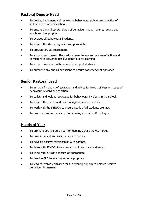## **Pastoral Deputy Head**

- To devise, implement and review the behavioural policies and practice of saltash.net community school.
- To ensure the highest standards of behaviour through praise, reward and sanctions as appropriate.
- To oversee all behavioural incidents.
- To liaise with external agencies as appropriate.
- To provide CPD as appropriate.
- To support and develop the pastoral team to ensure they are effective and consistent in delivering positive behaviour for learning.
- To support and work with parents to support students.
- To authorise any and all exclusions to ensure consistency of approach

## **Senior Pastoral Lead**

- To act as a first point of escalation and advice for Heads of Year on issues of behaviour, reward and sanction.
- To collate and look at root cause for behavioural incidents in the school.
- To liaise with parents and external agencies as appropriate.
- To work with the SENDCo to ensure needs of all students are met.
- To promote positive behaviour for learning across the Key Stages.

## **Heads of Year**

- To promote positive behaviour for learning across the year group.
- To praise, reward and sanction as appropriate.
- To develop positive relationships with parents.
- To liaise with SENDCo to ensure all pupil needs are addressed.
- To liaise with outside agencies as appropriate.
- To provide CPD to year teams as appropriate.
- To lead assemblies/activities for their year group which enforce positive behaviour for learning.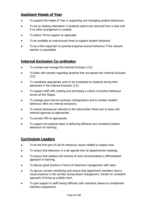## **Assistant Heads of Year**

- To support the Heads of Year in supporting and managing positive behaviours
- To act as 'parking attendants' if students need to be removed from a class and if no other arrangement is suitable
- To deliver Thrive support as applicable
- To be available at unstructured times to support student behaviour
- To be a first responder to parental enquiries around behaviour if the relevant teacher is unavailable.

## **Internal Exclusion Co-ordinator**

- To oversee and manage the Internal Exclusion (I.E).
- To liaise with parents regarding students that are placed into Internal Exclusion (I.E).
- To coordinate appropriate work to be completed by students during their placement in the Internal Exclusion (I.E).
- To support staff with creating and promoting a culture of positive behaviour across all Key Stages.
- To manage post internal exclusion reintegrations and to monitor student behaviour after any internal exclusions.
- To submit behavioural referrals to the Intervention Panel and to liaise with external agencies as appropriate.
- To provide CPD as appropriate.
- To support the pastoral team in delivering effective and consistent positive behaviour for learning.

## **Curriculum Leaders**

- To be the first port of call for behaviour issues related to subject area.
- To ensure that behaviour is a set agenda item at departmental meetings.
- To ensure that syllabus and scheme of work accommodates a differentiated approach to learning.
- To discuss good practice in terms of classroom management with team.
- To discuss corridor monitoring and ensure that department members have a visual presence in the corridor during lesson changeovers. Decide on consistent approach of lining up outside room.
- To give support to staff having difficulty with individual classes to complement induction programme.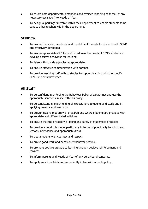- To co-ordinate departmental detentions and oversee reporting of these (or any necessary escalation) to Heads of Year.
- To design a 'parking' timetable within their department to enable students to be sent to other teachers within the department.

## **SENDCo**

- To ensure the social, emotional and mental health needs for students with SEND are effectively developed.
- To ensure appropriate CPD for staff to address the needs of SEND students to develop positive behaviour for learning.
- To liaise with outside agencies as appropriate.
- To ensure effective communication with parents.
- To provide teaching staff with strategies to support learning with the specific SEND students they teach.

## **All Staff**

- To be confident in enforcing the Behaviour Policy of saltash.net and use the appropriate sanctions in line with this policy.
- To be consistent in implementing all expectations (students and staff) and in applying rewards and sanctions.
- To deliver lessons that are well prepared and where students are provided with appropriate and differentiated activities.
- To ensure that the physical well-being and safety of students is protected.
- To provide a good role model particularly in terms of punctuality to school and lessons, attendance and appropriate dress.
- To treat students with courtesy and respect
- To praise good work and behaviour whenever possible.
- To promote positive attitude to learning through positive reinforcement and rewards.
- To inform parents and Heads of Year of any behavioural concerns.
- To apply sanctions fairly and consistently in line with school's policy.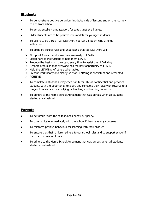## **Students**

- To demonstrate positive behaviour inside/outside of lessons and on the journey to and from school.
- To act as excellent ambassadors for saltash.net at all times.
- Older students are to be positive role models for younger students.
- To aspire to be a true 'TOP LEARNer', not just a student who attends saltash.net.
- To abide by School rules and understand that top LEARNers will:
	- $\triangleright$  Sit up, sit forward and show they are ready to LEARN
	- $\triangleright$  Listen hard to instructions to help them LEARN
	- $\triangleright$  Produce the best work they can, every time to assist their LEARNing
	- $\triangleright$  Respect others so that everyone has the best opportunity to LEARN
	- $\triangleright$  Help the LEARNing of others when asked
	- $\triangleright$  Present work neatly and clearly so that LEARNing is consistent and cemented
	- > ACHIEVE!
- To complete a student survey each half term. This is confidential and provides students with the opportunity to share any concerns they have with regards to a range of issues, such as bullying or teaching and learning concerns.
- To adhere to the Home School Agreement that was agreed when all students started at saltash.net.

## **Parents**

- To be familiar with the saltash.net's behaviour policy.
- To communicate immediately with the school if they have any concerns.
- To reinforce positive behaviour for learning with their children
- To ensure that their children adhere to our school rules and to support school if there is a behavioural issue.
- To adhere to the Home School Agreement that was agreed when all students started at saltash.net.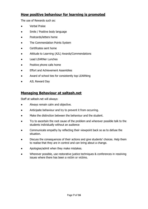## **How positive behaviour for learning is promoted**

The use of Rewards such as:

- **Verbal Praise**
- Smile / Positive body language
- Postcards/letters home
- The Commendation Points System
- Certificates sent home
- Attitude to Learning (A2L) Awards/Commendations
- **Lead LEARNer Lunches**
- Positive phone calls home
- **Effort and Achievement Assemblies**
- Award of school ties for consistently top LEARNing
- A2L Reward Day

## **Managing Behaviour at saltash.net**

Staff at saltash.net will always:

- Always remain calm and objective.
- Anticipate behaviour and try to prevent it from occurring.
- Make the distinction between the behaviour and the student.
- Try to ascertain the root cause of the problem and wherever possible talk to the students individually without an audience
- Communicate empathy by reflecting their viewpoint back so as to defuse the situation.
- Discuss the consequences of their actions and give students' choices. Help them to realise that they are in control and can bring about a change.
- Apologise/admit when they make mistakes.
- Wherever possible, use restorative justice techniques & conferences in resolving issues where there has been a victim or victims.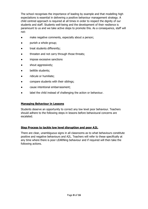The school recognises the importance of leading by example and that modelling high expectations is essential in delivering a positive behaviour management strategy. A child centred approach is required at all times in order to respect the dignity of our students and staff. Students well-being and the development of their resilience is paramount to us and we take active steps to promote this. As a consequence, staff will not:

- make negative comments, especially about a person;
- punish a whole group;
- treat students differently;
- threaten and not carry through those threats;
- impose excessive sanctions
- shout aggressively;
- belittle students;
- ridicule or humiliate;
- compare students with their siblings;
- cause intentional embarrassment;
- label the child instead of challenging the action or behaviour.

#### **Managing Behaviour in Lessons**

Students deserve an opportunity to correct any low level poor behaviour. Teachers should adhere to the following steps in lessons before behavioural concerns are escalated.

#### **Step Process to tackle low level disruption and poor A2L**.

There are clear, unambiguous signs in all classrooms as to what behaviours constitute positive and negative behaviours and A2L. Teachers will refer to these specifically at any time where there is poor LEARNing behaviour and if required will then take the following actions.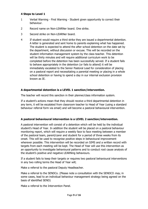#### **4 Steps to Level 1**

- 1 Verbal Warning First Warning Student given opportunity to correct their behaviour.
- 2 Record name on Non-LEARNer board. One strike.
- 3 Second strike on Non-LEARNer board.
- 4 If student would require a third strike they are issued a departmental detention. A letter is generated and sent home to parents explaining what has happened. The student is expected to attend the after school detention on the date set by the department, without discussion or excuse. This will be recorded on the student information management system by the class teacher. This detention will be thirty minutes and will require additional curriculum work to be completed before the detention has been successfully served. If a student fails to behave appropriately in the detention (or fails to attend) it will be immediately escalated to the Senior Pastoral Lead for consideration of placing on a pastoral report and necessitating a parental meeting or placing in a whole school detention or having to spend a day in our internal exclusion provision known as IE.

#### **A departmental detention is a LEVEL 1 sanction/intervention.**

The teacher will record this sanction in their planner/class information system.

If a student's actions mean that they should receive a third departmental detention in any term, it will be escalated from classroom teacher to Head of Year (using a standard behaviour referral form via email) and will become a pastoral behavioural intervention.

#### **A pastoral behavioural intervention is a LEVEL 2 sanction/intervention.**

A pastoral intervention will consist of a detention which will be held by the individual student's Head of Year. In addition the student will be placed on a pastoral behaviour monitoring report, which will require a weekly face to face meeting between a member of the pastoral team, parent/carer and student for a period of three weeks from its onset. This will be used to recognise positive steps in behavioural improvement wherever possible. This intervention will be recorded on SIMS and a written record with targets from each meeting will be kept. The Head of Year will use this intervention as an opportunity to investigate behavioural patterns and to conduct root cause analysis of the student's positive and negative LEARNing behaviours.

If a student fails to keep their targets or requires two pastoral behavioural interventions in any two rolling terms the Head of Year will;

Make a referral to the pastoral Deputy Headteacher.

Make a referral to the SENDCo. (Please note a consultation with the SENDCO *may*, in some cases, lead to an individual behaviour management strategy being agreed on the basis of identified SEND)

Make a referral to the Intervention Panel.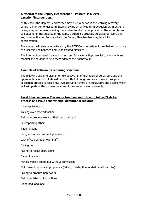#### **A referral to the Deputy Headteacher – Pastoral is a level 3 sanction/intervention.**

At this point the Deputy Headteacher may issue a period in the learning recovery centre, a short or longer term internal exclusion, a fixed term exclusion or, in extreme cases, may recommend moving the student to alternative provision. The action taken will depend on the severity of the issue, a student's previous behavioural record and any other mitigating factors which the Deputy Headteacher may take into consideration.

The student will also be monitored by the SENDCo to ascertain if their behaviour is due to a specific undiagnosed and unaddressed difficulty.

The intervention panel may look to ask our Educational Psychologist to work with and monitor the student to help them address their behaviours.

#### **Example of behaviours requiring sanctions**

The following seeks to give a non-exhaustive list of examples of behaviours and the appropriate sanction. It should be noted that although we seek to work through an escalation process to tackle low-level disruption there are behaviours and actions which will skip parts of the process because of their seriousness or severity

#### **Level 1 behaviours – Classroom teachers and tutors to follow '3 strike' process and issue departmental detention if required.**

Lateness to lesson Talking over others/teacher Failing to produce work of their best standard Disrespecting others Tapping pens Being out of seat without permission Lack of co-operation with staff Calling out Failing to follow instructions Eating in class Having mobile phone out without permission Not presenting work appropriately (failing to date, title, underline with a ruler) Failing to produce homework Failing to listen to instructions Using bad language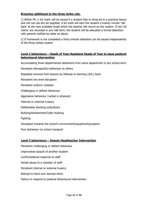#### **Breaches additional to the three strike rule.**

1) Within PE, a 'kit mark' will be issued if a student fails to bring kit to a practical lesson and will not use any kit supplied. A kit mark will earn the student a twenty minute 'call back' at the next available break which the teacher will record on the system. If two 'kit marks' are recorded in any half term, the student will be allocated a formal detention with parents notified by letter as above

2) If homework is not completed a thirty-minute detention can be issued independently of the three strikes system

#### **Level 2 behaviours – Heads of Year/Assistant Heads of Year to issue pastoral behavioural intervention**

Accumulating three departmental detentions from same department in any school term

Persistent disrespectful behaviour to others

Repeated removal from lessons by Attitude to learning (A2L) team

Persistent low level disruption

Persistent uniform violation

Challenging or defiant behaviour

Aggressive behaviour (verbal or physical)

Internal or external truancy

Deliberately blocking exits/doors

Bullying/Harassment/Cyber bullying

Fighting

Disrespect towards the school's environment/equipment/property

Poor behaviour on school transport

#### **Level 3 behaviours – Deputy Headteacher Intervention**

Persistent challenging or defiant behaviour Unprovoked assault of another student Confrontational response to staff Verbal abuse to a member of staff Persistent internal or external truancy Refusal to hand over banned items Failure to respond to pastoral behavioural intervention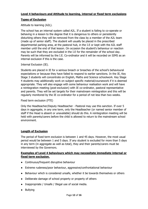#### **Types of Exclusion**

Attitude to learning (A2L).

The school has an internal system called A2L. If a student is failing to co-operate or behaving in a lesson to the degree that it is dangerous to others or persistently disturbing others they will be removed from the class by a member of the A2L team (made up of senior staff). The student will usually be placed in the prescribed departmental parking area, at the pastoral hub, in the I.E or kept with the A2L staff member until the end of that lesson. On occasion the student's behaviour or reaction may be such that they are excluded in the I.E for the remainder of the school day. Parents will be informed by the I.E. Co-ordinator and it will be recorded on SIMS as an internal exclusion if this is the case.

Internal Exclusion (IE).

Students are placed in IE for a serious breach or breaches of the school's behavioural expectations or because they have failed to respond to earlier sanctions. In the IE, Key Stage 3 students will concentrate on English, Maths and Science schoolwork. Key Stage 4 students may additionally work on subject specific material/coursework if it is deemed appropriate. They will also engage with some behaviour realisation work and will have a reintegration meeting (post-exclusion) with IE co-ordinator, pastoral representative and parents. They will be set targets for their mainstream reintegration and this will be regularly monitored by the IE co-ordinator for a period of not less than two weeks.

Fixed term exclusion (FTE)

Only the Headteacher/Deputy Headteacher - Pastoral may use this sanction. If over 5 days in aggregate, in any one term, only the Headteacher (or named senior member of staff if the Head is absent or unavailable) should do this. A reintegration meeting will be held with parents/carers before the child is allowed to return to the mainstream school environment.

#### **Length of Exclusion**

The period of fixed term exclusion is between 1 and 45 days. However, the most usual period would be between 1 and 5 days. If any student is excluded for more than 5 days in any term (in aggregate as well as total), they and their parents/carers must be interviewed by the Governors.

#### **Examples of Level 4 behaviours which may necessitate immediate internal or fixed term exclusion.**

- Continuous/frequent disruptive behaviour
- Extreme rudeness/poor behaviour, aggressive/confrontational behaviour
- Behaviour which is considered unsafe, whether it be towards themselves or others
- Deliberate damage of school property or property of others
- Inappropriate / Unsafe / Illegal use of social media.
- Bullying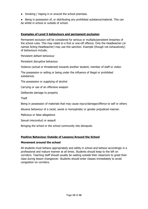- Smoking / Vaping in or around the school premises.
- Being in possession of, or distributing any prohibited substance/material. This can be whilst in school or outside of school.

#### **Examples of Level 5 behaviours and permanent exclusion**

Permanent exclusion will be considered for serious or multiple/persistent breaches of the school rules. This may relate to a first or one-off offence. Only the Headteacher (or named Acting Headteacher) may use this sanction. Example (though not exhaustively) of behaviours include;

Persistent defiant behaviour

Persistent disruptive behaviour

Violence (actual or threatened) towards another student, member of staff or visitor.

The possession or selling or being under the influence of illegal or prohibited substances

The possession or supplying of alcohol

Carrying or use of an offensive weapon

Deliberate damage to property

Theft

Being in possession of materials that may cause injury/damage/offence to self or others

Abusive behaviour of a racist, sexist or homophobic or gender prejudiced manner.

Malicious or false allegations

Sexual misconduct or assault

Bringing the school or the school community into disrepute.

#### **Positive Behaviour Outside of Lessons/Around the School**

#### **Movement around the school**

All students must behave appropriately and safely in school and behave accordingly in a professional and mature manner at all times. Students should keep to the left on corridors. Teaching staff should usually be waiting outside their classroom to greet their class during lesson changeover. Students should enter classes immediately to avoid congestion on corridors.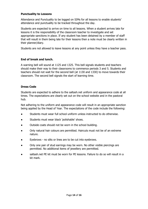#### **Punctuality to Lessons**

Attendance and Punctuality to be logged on SIMs for all lessons to enable students' attendance and punctuality to be tracked throughout the day.

Students are expected to arrive on time to all lessons. When a student arrives late for lessons it is the responsibility of the classroom teacher to investigate and set appropriate sanctions in place. If any student has been detained by a member of staff that will result in them being late for their lessons then a note must be clearly written in their planner/diary.

Students are not allowed to leave lessons at any point unless they have a teacher pass.

#### **End of break and lunch.**

A warning bell will sound at 1125 and 1325. This bell signals students and teachers should make their way to their classrooms to commence periods 3 and 5. Students and teachers should not wait for the second bell (at 1130 and 1330) to move towards their classroom. The second bell signals the start of learning time.

#### **Dress Code**

Students are expected to adhere to the saltash.net uniform and appearance code at all times. The expectations are clearly set out on the school website and in the pastoral hub.

Not adhering to the uniform and appearance code will result in an appropriate sanction being applied by the Head of Year. The expectations of the code include the following:

- Students must wear full school uniform unless instructed to do otherwise.
- Students must wear black 'polishable' shoes.
- Outside coats should not be worn in the school building.
- Only natural hair colours are permitted. Haircuts must not be of an extreme nature.
- Eyebrows no slits or lines are to be cut into eyebrows.
- Only one pair of stud earrings may be worn. No other visible piercings are permitted. No additional items of jewellery are permitted.
- saltash.net PE kit must be worn for PE lessons. Failure to do so will result in a kit mark.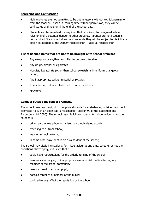#### **Searching and Confiscation**

- Mobile phones are not permitted to be out in lessons without explicit permission from the teacher. If seen in learning time without permission, they will be confiscated and held until the end of the school day.
- Students can be searched for any item that is believed to be against school rules or is of a potential danger to other students. Parental pre-notification is not required. If a student does not co-operate they will be subject to disciplinary action as decided by the Deputy Headteacher – Pastoral/Headteacher.

#### **List of banned items that are not to be brought onto school premises**

- Any weapons or anything modified to become offensive
- Any drugs, alcohol or cigarettes
- Hoodies/Sweatshirts (other than school sweatshirts in uniform changeover period)
- Any inappropriate written material or pictures
- Items that are intended to be sold to other students.
- **Fireworks**

#### **Conduct outside the school premises.**

The school reserves the right to discipline students for misbehaving outside the school premises "to such an extent as is reasonable" (Section 90 of the Education and Inspections Act 2006). The school may discipline students for misbehaviour when the student is:

- taking part in any school-organised or school-related activity;
- travelling to or from school;
- wearing school uniform;
- in some other way identifiable as a student at the school;

The school may discipline students for misbehaviour at any time, whether or not the conditions above apply, if it is felt that it:

- could have repercussions for the orderly running of the school;
- involves cyberbullying or inappropriate use of social media affecting any member of the school community;
- poses a threat to another pupil;
- poses a threat to a member of the public;
- could adversely affect the reputation of the school.